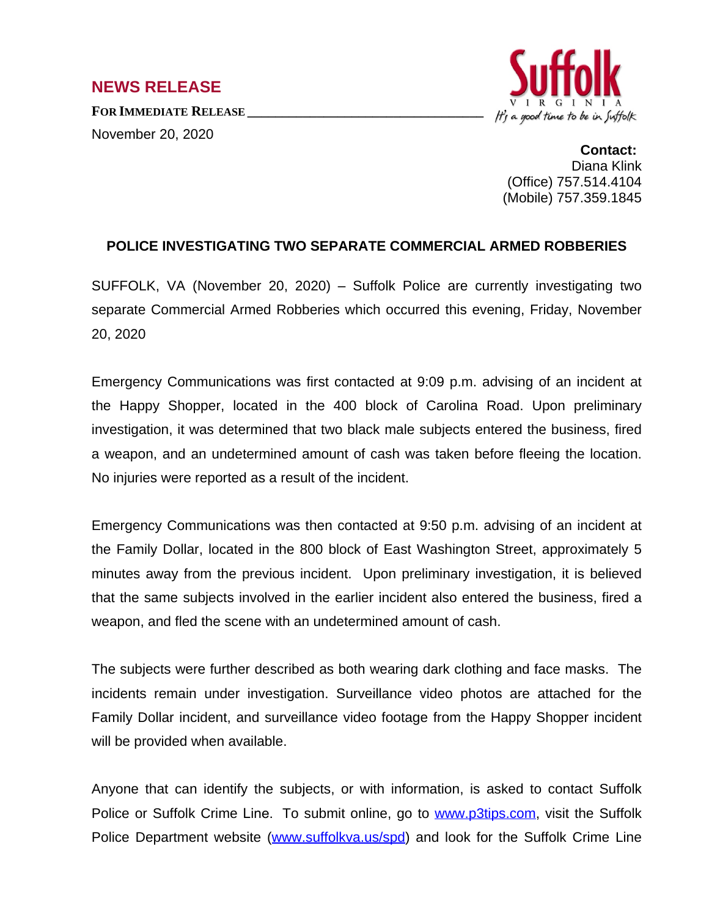## **NEWS RELEASE**

**FOR IMMEDIATE RELEASE \_\_\_\_\_\_\_\_\_\_\_\_\_\_\_\_\_\_\_\_\_\_\_\_\_\_\_\_\_\_\_\_\_\_** November 20, 2020



**Contact:** Diana Klink (Office) 757.514.4104 (Mobile) 757.359.1845

## **POLICE INVESTIGATING TWO SEPARATE COMMERCIAL ARMED ROBBERIES**

SUFFOLK, VA (November 20, 2020) – Suffolk Police are currently investigating two separate Commercial Armed Robberies which occurred this evening, Friday, November 20, 2020

Emergency Communications was first contacted at 9:09 p.m. advising of an incident at the Happy Shopper, located in the 400 block of Carolina Road. Upon preliminary investigation, it was determined that two black male subjects entered the business, fired a weapon, and an undetermined amount of cash was taken before fleeing the location. No injuries were reported as a result of the incident.

Emergency Communications was then contacted at 9:50 p.m. advising of an incident at the Family Dollar, located in the 800 block of East Washington Street, approximately 5 minutes away from the previous incident. Upon preliminary investigation, it is believed that the same subjects involved in the earlier incident also entered the business, fired a weapon, and fled the scene with an undetermined amount of cash.

The subjects were further described as both wearing dark clothing and face masks. The incidents remain under investigation. Surveillance video photos are attached for the Family Dollar incident, and surveillance video footage from the Happy Shopper incident will be provided when available.

Anyone that can identify the subjects, or with information, is asked to contact Suffolk Police or Suffolk Crime Line. To submit online, go to [www.p3tips.com,](http://www.p3tips.com) visit the Suffolk Police Department website ([www.suffolkva.us/spd](http://www.suffolkva.us/spd)) and look for the Suffolk Crime Line